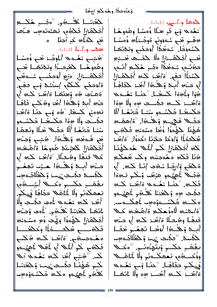وَحَدُّهِ حِمًّا وِحْمَهِ كُمْ وَهِ مَا

لْمُعْنَـْكُمْ لَيْكُمْ مِنْ أَوْكَسِي هَنْكُمْ م أَبْلَكُنْزَلَ ثُلَاثُهُم لَتَعْنُمَانُمِهِ ۖ فَـٰزَى هُم حَدَٰلَهُ کَبِ اُجِئًا ﴾  $4.1.11$   $.1.1$ أَهْتَبِ تَعْــه لَمْ أَلِمُ جَــٰ; هَــِ وُّدَــٰتُ وِهُومِ هُــا ۖ كَعَذِكَرَا ۚ وَلَـالَـٰهَــا ۚ هَــــمِ أُبْلَكُم زُل أَهْرُمْ أَوْحَكُم مُسْمَدَهُمْ هُ/وَحَكُم كَنْكُمْ }سُزُنْكِ وْبِ قَفِّي.  $\sqrt{2}$  أَهْحَـٰزَبَ (هُو وَمِسَّعْـاً  $\delta$ اهُــز  $\sim$ ه  $\delta$ حَرْه أَبَدْ وَكَلَّهُا أَهَٰذٍ وَهُكُبٍ قُاقِبًا  $\mathbf{\hat{a}}$ نەەئى كىنغا.  $\mathring{\mathbf{\hat{a}}}$ ە ۋى كىنا ۋاھَ حكِّسب وِلَّا هِءُا حَكْمَعُكُمْ خُكْسُمُو مُمْل خُرْتُهُا ٱللَّا حَجُّــلا مْتُـلَّا وِتُحِمَّـل مَع فُــه مَعه وَجَمْــُهُا. تَهْشِع وَجِبْرَه أَجْلاهَٰ;}ل كَعبَّدِمَكِ هُمْ وهُا كَاهَمْتُده كْمَلًا قْبَضًا وَهَيْجَلًا. ۚ وْأَهْدَ كَلَّهَ أَنْ حَــْ;َهُ أَبَـٰهُ وَجُحُـُـهُ | هــبَّـ نَهِـهُـبِ لْمَكْمِسْنَا مَكْسِينَ مِسْرَرٌ مِسْتَكْمَلْكَ وَمِنْ مَسْتَكْمَلْكَ وَمِنْ مَسْتَكْمَلْكَ وَمَنْ ىقْصْبْ مْكْسْبْ ەكْسْلا أَجْسَسْتُومْ تَمْعَكُمْبُرِ وَلَا غُلَمْكَ حَجَّاجًا فَيَكْبَر. َٱهٗذ ݣُده تصُّمد لْمُوب تكْسب وِلْا لْلَّعْـا ۖ خَعُّرْنَـا ۚ كَلاُّ هُبْرٍ. ۚ نُأْهِبَ وَإِجِبْرَه أُبْلِكُمْرُلِ لِكَهُوَٰوَا وَلَمِي وُمِ مِمْـوْتِهِ ثَلاة ـــــــــ مُلاتـــــــهُ أَا ۖ وِحُلافَـــــا ەھُەجسۇم. "ەاھُە ئكىھ ھُكْس ثُلاَثَهِم لَمْبِ ٱلْمَلاَ ﴾ أَفَلاَ أَهِيَهُمْ كُم، ۚ أَهُ شَبْ أَهُدْ كُمْ عَمْدِ ١١ أَمْلا لْحُبِ هُؤُسُا حَدَّىبَ يَهْدَ وَّحْقُرْسًا كْلُمُبْرِ لْمُهْيَىءٍ مِنْدُه خُلْسُمْهُمْوَهِ

4.1.13  $\ldots$ , and أَيْفُمِي أَبِي جَبِّ هِـلَّا ؤُومُـٰا وَهُومُـا ۖ ھڪِبر ھُــر مُــُــوَوۡنُ وَوۡجَــٰٓ;اُھ وَّہۡمَـٰـا ِّكْتُوَوَّخُلِ<sup>ْ ك</sup>َـوَهُٰذًا ۖ أَوْحَكَبِ ۖ وَلَـٰٓالِكَمَـلِ هَبِ أَجْلَكَتُ رَٰٓرًا هَلَا كَذَلْتُ هُدْءٍم حەُنُے ٖ ئے مُحِمَّا وَجَهِ ۖ هَكُــُمْ أَنَــُو لأَسْبَأَا مَثَّى. ۚ هُ/هُــ: كُــْ ۞ أَبْـَكُمَّـٰ: رُلِّـ |أَبِي حَـٰٓزَوهِ أَبَيْدَ وَجَمَلاً وَهُمْ أَهْدِ: حَجَّاهُـا هُوْا وِأَهْوَا لَحْمَعُكُمْ شَمْلًا تَعْدِمُهُ ةُ أَهَّـــز ۚ لَكْـــده حَدَّــــب وه وِلَا وَوَدَا حَكْمِعُـا خَكْسُــهِ مُسْـا خَرْبُهُـا ٱلْأَ حَجَّى اللَّهُ عَيْنِ مِنْ وَاللَّهُ مِنْ أَيُّ اهْقَدِهِ هُوُمُلُ حَوُّەؤُا ؤُهُا ممُّەتە ڤَحْدُم هَٰٓ كَتَمَا اللَّهُ أَوۡ كُلَّ اللَّهُ وَاللَّهُ مَنۡ أَوۡ اللَّهَ وَاللَّهَ لَاه أُبْلَكُنْزَلِ كُبِرٍ أَ*نْمَ*لًا هُمَلَكُهُ ُمَا ھُلُّا ثَكْلُه مِعْمَدِسْهِ وِكُمْ هُمِكُمْ هُكْلُم وْارْتْمَا مُدْهِ إِسَا كُلّْهِ. أَلْمَ ادَّمَلا ـُاهِهُـمْ هِبْهَد وَّمِكْبِر تَــ20\$ ثَكْتُه. مْثَلَمْ تَعْسَمْهُ وْاهْدِ كْتُهْ تَجْمَعَ وَهِ وَلَحَقَّنَا كَلَّمَ وَالْتَّكِمُ ەڭلىدە كَلْشَـْمَوُەھە لْمِكْــەمە. كالمنائسه لأاهزُهكم هُاهُبعْته لِمَيلا ثَنفُا وِهَٰتُنَا ةَاهَٰ: كُنْ أَنْ خَنْرُه أَبْنَا وَجَلاُّ هَٰا أَوْهُـا تَـْفِـمْـبِ هَتُـا لِمُعْمَدِمِ الْعَجَمِينِ يَحِيدَ وَمِكْمَائِكُمْ وَمِنْ الْمَعْمَلَامِينَ لَّفِقْمِ لَكَنْتُو وُلِلُهُنُّولُسِ "مَكْتَلَا وَوُّكْسِيُّەم تَعْمَكْسَابُر وِلَّا غْلَامْسَىلا فَهِكُس حَجَّاهُـا.  $^{\text{12}}$ حَسًّا وَٓب عَمَّـه ةَ أَهَبَ يَكْسَدُ أَهْكِبَ وَهِ وَلَمَّا بَائِكْمَا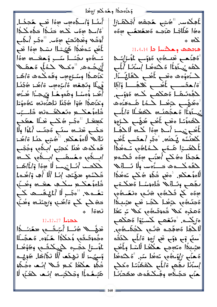وَحَدُّهِ حَجًّا وِهُوكُمْ وَوِهُا

أَمِثًا وَٱسْتِهُوهِت هِوَٰا هُبِ هُجِئًا. ْهُ/سِمْ وَوَّى كُلُو حَلَّجُلَّ حَجَّوهُكُمُّا أُوْضًلا وِهْلِأَنْحَنُ ۞هَ وَالْمَدِينَ الْمَجْمِعِ أَمَلِكُمْ لَمُع عُمِعُهُمْ الْمَهْيَمَا السَمْ وَهُ أَشْهِرَ مُسْتُومٍ بَجِّيْنَا مُيْسِجٍ وَجَمَعْنِيهِ وَوَا للمضعة بأشك للمكم" بمصبح لأ تْذَهَبُهُا وَمُنْزَوْهِمْ وَقَدْكُدْهَا وْأَهْدَ فَى ٱلمَّا وَتَّحِمُّهُ ۚ وَٱلْمَرْءَ ۞ وَٱلْأَهَٰ ۚ وَٱلْمَرْءَ أهُد: وُّوسُل وِهُومِهُل وَيُجِبُّلُ هُــُرُّهُ وِيْذُهِجُا هُوْا هُجُبُا تَاهِ وُمَنْ مُؤْهِبًا ذَاهزُهنگ مرتمحفُ وته ذَاسِيَ كَعِيْشَا.  $^{\circ}$ دُجْمِ شُكْبٍ شَـْلًا حَقَدَبِ حَكَٰب هَنْـــره مئے ہُجنّــب أَباوُا وَلَّا<br>تَاٱبْلا لَلْموْهِكُمْ. <sup>13</sup>شْبٍ حَبَّا وْاهَــ; فَمِكُمْهِ هُلا حُجَبُ ابْلَامِ وَجُبُّبِ اب خُام، معُسمٌمب اب خُام، حَمْد مِنْ لَكَلَّكَ أَمْرًا لَا يَسْرِرُ النَّا أَيْتَمَرْ لِلَّهُ مُسْتَكَلَّفَ بَعْدَ النَّاسُ خَـٰـْـشَمْهِ مَــهُــِّـبَ إِنُــا ٱلْل أُهِ وۡمُ قَــما ِ ذُاهزٌ مثل م سكلهِ حقلهِ وِهُلَّىٰ تَهُـــه هــ أو حُـــرٍ لَا أَعْلَىٰــقَصَدِ حَمْـــهِ مَـــمِ َدَەۡكَم كُم ەۡاھَـٰٓنٖ وۡرۡكِنُـُدَە وَهُـُّنِّہ ∻ |ஃவி  $12.12.27$   $\overline{\phantom{1}}$ هَيُّـــلا هُنُـــا أُجْئُــقُـــم همُّنْـــجُل ەجُەزكَىتُە زُىكْدًا هَـزُوه. ەَحجَّىـْلل لمُؤْسِوْلِ حِجْبِرِهِ ۖ ۖ حَيْنِكُمْ فَصَحِ ﴾ وَهَٰؤُهُمَا ۖ

وَّسِيَّ أَلَّا تَـهِـثَـه ٱلْلَّا تَـجَلَّاهَا. وَأَوْلِــه

تُكْبُوْ هِكْتُدَا كُنْفَرْ فُلْحًا إِنْتُ وَجُكْبُوْ

هَّبُسُّماً | وَجَحْدٌمِــهِ إِنْــما حَعْـَى لَا

 $\int \mathbf{R}^2 \mathbf{R} \, d\mathbf{R}$ ْجَلاهَة $\int \mathbf{R} \, d\mathbf{R}$ اب ەھْا ھُلْابْلَ ھُزْجِھ ەُھلُھْھْبَى ، مِەَه  $\therefore$  on وزدهها وحشيا دا 21.4.14 أَهْجَاهِم هُنِسْتُمْهِ وَفَقِيمٍ لِمُؤْمِنُكُمْ لَحَكُم يُحَذِّفُوا الْمَحْكَمَةِ الْمَجْمَعِينَ الْمَجْمَعِينَ مِنْصَكَمَ كُنُووُوها وقْبَ أَهُبَ كَفَالَ أَل أَوْلَاهِ مَسْبِ يَأْمُوبِ مَلَاهِ الْمُؤْمَّلِ الْمُؤَلَّالِ لِمُفْسُمًا هُعنْعَمِ لَمِنْهِ هَٰذِهُمِ. ُّەھَٰذُے حَبِّھُـا حَــٰمُا هُــەَفُوه لَىٰ أَوْلَمَ أَمْهَجُهنُـ ۞ لَتَعْعُمُ الْأَوْلَمِ لَهِ مِنْ الْمَهْلِمَانَ وَالْمَ لحَقُدنَّمَا وقب لَمُب هَٰذَب لَحَوْهِ لَمُعْبِيْ يَسْمَدُ أَمْهِ هِمَا كَمِنْ الْمَحْمَدُ لَاهْلُشَّهِ هُدَلُهُ. أَهْجُمْ أَهْضَبِ لَمُعَ الْمَجَمَّ أَكْفَسْبَرَا هُــةَمِ كَــةُ بِاهْمِ حَــةُ مِلَا هُجِدًا وَهُكُمْ أُهْبَى وَوَى قُطْعُور لْلُوؤُحِنْكُمْ. ۚ وَهُمْ خُكِّارَ ۖ وَهُ كُلْمٍ عُوهُكُمْ! ىفِّعى وِسُالُكَ څُاەوممُــا ەُھڭــەَى وەۋە كە ئىلىۋە ۋىئە مەتقىمۇ ەَجِسُدُەر كَبِرْهُمَا لِكَجْمْ هُم مَبُنِيْكَا ەَھدُرِه كَمَلا خُموَضُرەُ مِ كَمَلا مُرِ كَعُل ەزگىم. أەئقعى كمبورا ةھكعى لْلَّكِفُا هُمَفِّدِه ۚ هُنُّمٍ ۚ كَجُكْسُوُّمٍ. ُسْلَمٍ فِي وَفِي شَيْ زُوْوَ ةَ/لَمِا حَكَثُمُ هِبْنِكَا مَحْمِجِمٍ حَكْفُ الْاَسْا فِلْمُحْمِ أَسْمَنُهِ تَرَاوُمِثْهُمْ مَعْظَمِ مَنْهِ. كَاهَدْهُ |إستُنَا بِفَمِي ةَالِمَ حَقَقَتَنَا مَكَحَمٍ هَنِّمِ حَجَّىٰٓ۩۞ وَقِّىكُمْقُوها هَهُدَٰۥُنَّا ۖ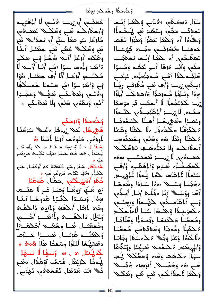وُحْزُهِ حِدًّا وِهُوَ حُمْ رُومُوا

مَوْضَةِ الْمُ مِثْمَةَ مَسْرَجٌ لَمْ كَمِعْدَ ثوابعةًا لحسه وَهُكُما لَمُعْدِوْهِ، كَاوْكُا مَّبْ تَعْدَا مِنْ ﴾ لَمَحْدُ ⁄ لَا تَعَامَلَ اللَّهُ هُم وَهُدْلِ لا يَحْمَى مَنْ حَقْدًا. أَسْأَ وَهُكُلُّهُ أَوْخُلُمْ أَٱمَلَا هُـهَـٰلُ وَجِي هَكْبِرِ ةَاهَٰ: وَلَمُوبَ مِيزًا آجَٰ أَنُـٰا أَآَـــٰهَ لَٰا كُحْشُــهو أُوْحُــا ٱلْلَّ أُبْ هِعَّـُــا. وُوْا وْمِ وْاهْدْ مِبْرَا آجُمْ هِنْتُمْنَا خُومِيكُفُا وَهُنُـم وَهُذَانَـمَـٰى هُـهُــٰلا وَحَجُــۃٖا أَنَّهِ وَمُنَقَّهِ وَهُنَّهِ وَلَا شَكَّانُكُمْ \*

وَحَدُّوحِكَا وَأَوْحَكُم لْنْمُهْمْ مُحْمَّا مَاهْبَرَدُ مُحْمَّا مِكْمَرْتَكَ عَلَيْهِ مِنْ مَاعْدَ ـلُووْةُى: كَـلوةُـهـ أُوْـُل لِّلْـُـلُل اللَّهُ هُوَزُــٰلُ. دــُزُا وَجرَّوهَــــه فَـزمْـــه ۖ حَكَـــرِلُه هَـــح لمُحتَملُّا. ۞َد حُـذ ۖ هَـنُـل هنّهُـ: عَنْذِمِـدة حرّهِ هُـرِ هُنَّهٖ \*<br>هُه كُعُدًا. هَمثاً وهُبْ كَعْعَنْنَا كَم أَوْكُنُنَا. هُبْ<br>كِذَبِلُمٍ مِنْهُ: عَكْبَـة كُـوهُمِرٍ هُـْنٍ \* كْمُوْ أَوَّنِيَّكُمْ مِكْرِيَّةً أَمَّا رُمِ هُــَىۡ رُوهُــا وُحـُـا كَــرِ لَا هسُــعـ هِهُا. وَسَمْـةَا لِلنَّبِّا هُومِـمَّـا أَسُـا وِحْدَهُ لِمُرْدَا. أَحْدُثُ وَلَمُرُومِ وَاحْدُثُ وَلِمَرْلَا. هَا لِكُفْسِينَ وَلَمُاهَبِ أَكْسِسِيمَ وِحۡهِكۡنَـٰا ٖ. هُــا وِهُكَـــد أُتَــٰذُوۡۖ ـزُوۡا وَ لِكَفَسُـــهِ هُزَسُـــاً. قَســـــَةِ السَّـــْزَهــ وقدائهُمْ لَالمُوْا وِسْعِفًا هِلًا رَهُورٌ \* لْكُمْ يَتْتَارِ. ۞ . ۞ وَسَجُلَ لَّا تَسَجَّلَ لْمَعْلَمْ الْمُهْتَدَاءِ. هُتِمَّد ٱوْهُدًا ، هِ مَعْ ثُلا الّت هُتەْمَا. لَـْقَـعُلاهُ٥ لُـهُنَّـى.

مُنْزَابِ هَ٥٥مَنْهُ٥ اهْبَنَبِ وَلِمَحْمَدِ إِنَّـم الْمَجْدَبَ حَجَّمٍ وَمُّهُمْ هُم لِمُحَدَّدَاً وَجَلاَهُمْ أَو وَجَلَاظٌ كَمُرَا وَمِنْوْا تَفْعَ مُدهِنُــا مَنّهُوَجُـــم مِــَــهِ هَيُــَــالـ تَعَكَّمَجُوبٍ. أَو حَجَّلَ إِنَّمَا تَعَلَّاجًسَت حَجُّم ۚ وَٱلۡٮ هُوَٰقِا ٱمۡـِر ۡكَـٰهُـهِ وَجَـٰبِ}ا هْافُـه حَدًّا آتْبِ خُـهجَّوءِٱه. مُبِكَىبِ اَبْنُاهِ رَجَّاءُكُمْ فِي الْمَاءِثْ وَمَثْلِكَمْ وَالْحَسَاءِ هِهُمْ وَيُسْلَوِّلِ شُودِهِ وَلَا هَاهِدَ كَبِ أَبَاؤُ أَيْهِمْ كَلِمُنْجُمِلًا لَٰلَا أَحْضَى ثَمِ حَبْعَدْا حَكْــره. لَمَا يَهْــزِ أَلْمَكْزَجِــٰذُهِ لِكَـُـوزُا ومُعْسَرًا وَهُدِيْهُمَا أَجِسُلَا كَشَعْوَجُمَا هَ كِذَوْلًا مِكْذُووُّا. ولًا ۚ كَعُلًا وِهَٰئِلً هُكْمُلًا وِمْلًا هُو وِهُنُو وِهُمُعْدُوهِ أحذًا لهـء ولَا تعَلَّمهُ فِ تَجْعُكُمْ  $\mathcal{N}$ كَعْصِرْهُمْ بِمِنْ مُعْصَمَةً مِنْ الْمُجْمَّدِينَ مِنْ **َكْعَكُمُكُ زُهِ شَـْمٍ وَٱلْمَكَـٰذِهِ وَٱفْـِعِ** مَنْمَا أَبِلْهَٰذِ حَمْلِ هُوَٰا لْمَلِيَ حَرْمِهِ. دەڭگىل بېشىلا ھەل شىرەل بېھىمقىل أَهَٰذٍ وَوَّمْسَلاً }نَا هَؤُلَمْطِ }نُـا, أَبِـٰذُهِر وْبٍ ٱلْمَنْزَحِنَدُورِ كُلُّمَةُ وَرُوهَشُور وكُعبِّبِ\$ا وَجِحْكُوه مَّنْه لْأُوَوَّحْكُم وجَمعَنْـا هَـحْبَىشا ووْحَـمْلًا وهَٰلَابْـا. هَ كَثَبِلُا وِجُودِ ۚا وِهَدِكَذِكُم خَعفَتُ ا ولَالْحُثْهَا وَّعُلَا وِجُلا هَـحُوْمِـمُجُلْ وِجَانَـل وْالْمِيهَادِهِ. هَـذْهُومَدْ شَوِجُنَا وَوَّنَجُّهَا مِبۡبَاۤا ہِ ڬٚڗۿڡ وَهُدہ وٞمعَکلا ۖ لَمِت تَعَبُّ 60 وَ39جَمِيلًا. أَاؤَ90وَ \$جُمِيلًا وَكَمُلاَ أَحَكَّاكُمَ مَنْ مُنْ وَمُتَكَلَّا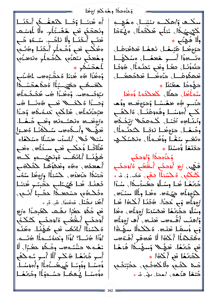وُحْزُهِ حِدًّا وِهُوَ حُمْ رُومُوا

أَه هُزئُــا وَحُــا كَنُعَشُــكَى أَحَدُــا وِنُعقبُ هَي هَقَتُّ;اُر. هأا أَوْسْع هْنَّــع أَمَدُنَــا وِلَا تَاحَـــزٍ. مَنْــوَو حَــع هَفَكْبِ شَيْءٌ وَدُولُرٍ أَمْجَنُـا وَهُنُـهِ وهُعدَنَا سَكْتُوا الْمَشْكَلُو وَلَاهِدَوْوا أهتَمُكُمْ \* وَّەمُدًا 6ه مُنْدًا هُدَشَّەِ مِ عَلَمَّیْت المَسْمَــم مَنْ أَلْبَــرَتِهُ صَلَاحِمًا مَنْ الْمَسْتَمَارَ ىزۆگىــە∞ب. ۋەھٰدُا ھُب ھُڪَىڪُــە⊾ُھ وْحِسْزًا هَكْشُمْلًا شَبُّ هَٰ٥ضًا هُـُ هرِّحزُنُه أَه . هَا كُم عَبْ مُهْرَه وَحِزَّا ەزەھىسە ەتھئىمتە وقىم ئىما. تَعَمُّـــلا وأَســكُاه٥ت سَمــكلَّاسُـل هَعـــترل مُتْلًا ثُلاً. أَلمنَ همَّمْلًا مِمْلَكُمْ! ھَٰلَاتَٓـا وُحكُـــم ھَــم مــرُلُهِ . وھَــم هُجُنُّا ٱلْمُتَّفَّــد هُوتَعِيَّــهِ كَـــهِ أَحْمَدُهُ وَهُنَ وَقَدَاؤُهَا كَثَلَاهُ بِ دْتِنُكُمْ احْتَمِدْهِ . حَسَّبَلًا وِرَّوهُم مَّمَّت كَعْسًا. هُـا هُهُمَّابٍ حَثَّبِتْ هُنْسًا هِ مُحْسِوُهِ حِسْمِعِيمًا حَضَبِا أَسُمِي. أَهَدَ بِحُبُلَ. هَرْهُووُل هُرِ. مُ و هَم حُكَّفٍ حَعْدًا بِكَتَبَ تَحْكَرِدُ أَنْ مَرُحَ أُوْحِكُبِ ٱمتَّعَشَبِ هَ/وَحِكُبٍ لَكَنكُـهُ﴾ هَ لِكُنَّبَاًا ٱلْمُتَعَفَّ هُم هُوُبُـا. ۚ وَهُنَّـه اؤْال ھُنُــا؟ اوْاْل وِتْعِبْقُــْـمِلْل ھُنَـــو. تصُّده دشّمُدهب وحُكّرو حفّرًا. لأ أُسو حُزْنُهُا هَكُو ٱلْا أُسو شُەكْفُ ؤُهمُا ووُوئا كَيْمُنْشَوْمَا وَأُهوَمُاً. ووْومْـالْمُعْمَّـا حِشَـوْمُاْلِ وِكَرْتُهُـا

مكد وٌاهكده بنتيل. ممُهدِ لْحَتَّىٰ ، أَلْمَكْمَهُ بِذُبُّهُ ، أَمُرْمِرِيَّةَ -الْمَرْمِرِيَّةَ مِنْ الْمَرْمِرِيْ وِلًا فُهِنَّى \* حوَهُما هُبُسُا. تَعسُّا شَدْهُدَهُا. ەئسەۋا أسىر ھىدىل. ەمىلاھ ا حنَّەؤُنُـا. دەخُـا وقىم مُحنَّـەـاُا. ۞وْحُـا قىعكۇئىل. دۇەھلىل قىلادىمھىل. أحدُّدُا حَفَّنُا \* مْدَءَامُدا. حملًا. كَعكشَما وُومُدا دَّىبِ رُهُه همَّسُل وُحرُوهْــه وِزَها كُبِ أُدْمِنُكُمْ وِقُدْوَهُنُكُ، وَالْكُفُبِ وَٱسۡلَامِهِ ٱحۡنُـا ۚ لَاَحۡصَـٰلا ۚ وَتِكَـٰلُاهِ وحُنفُـا. حرِّوهُــا تَاتْــا كَتْحَتَّــوَـاًا. ەئغىر مَقْلَ وِوُهُدەلُل. ەندىمكىچە |حثتمْا وّْمسْلْا \* وُحَزُّهِ حَدًّا ۖ وُٱوۡ حَكُمۡ ۖ قَمِّي. رُمِ أَوْحِكُمِ أَعْقُفُمِ هَاوَحِكُمِ كُتْكُمْ . هَ كَسَّرْأَلْ هِ هُ . مَكَبٍ قُ . تُ . حَرْبُهُما هُما وِمُبِأَوْ حَعَيْبَةَ جُلَّا. مِمْتَرَا لِمَوْعِوْلُمْ حَكَمْهُ مِنْ مِثْلِ مِثْلَا مِنْزُهِ . |وُوْلَمْ وْمِ كُحَزًّا. هُكْنُا أَكْدَهُ! هُـا وِسُلُّوْ حَجَّرْتُهُا مْحَامَدْكَا زُووْلُهِ . وهُا وَاهِنَكَ أَقَدِهِ مَنْ هِنْ وَالْحَدِيثَ وَالْحَدَثَ وْمِ وُسِعُل مْنْسَى. هَكْكُمُّلْ سِيَّتْوَّا هِ هَتَكُمُلَا أَكْدُا لَا هُدهِ وَ أَهَّـٰةَهُ هْمِ خَرْبُهُا. هَيُّــهُا وَسَيِّــدُا فُرْهُـا لْحَٰزَىٰهُا مْمِ أَكْدَهُا ﴾ صْهْ لِحُفْمٍ وَلَا كُلُوفُو ، حَكَبْتَفُومٍ حٌتهَا هزُهو . أمدا اللهُ . فُ .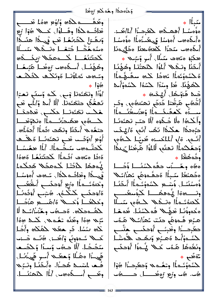وَحَدُّهِ حَمَّا وِحَدَّهُ لَحْمَ وَهِ مَا

هْلِمُــه حِجَّا وِهًـــاؤًا . حَمَـــهُ هُوْا رُعِ وَمَعْـَىٰ حَكَّائُمُـا مْعِ فَيَــدًا هِنْــدًا ومنصفض المتمسل وتستربه المنسأل كْحَتّْنُهُــا كُـــەعَكَلا ۚ رَبِكُـــدُّه وهُمُنُـا. أَـــكُوهب رُوهُــا هُبُـمُـا وسُهد شَمَاوُّلْسَا هُوِيْتَكُفْ لِلصُّلْعَفْ  $\cdot$   $\frac{1}{2}$  or }وُّٱلْ وِنْتَعَثَّوْنَا ۚ وَبِ . كُلِّهِ وَسَبٍّ نَعْبًا ىُڪغُكِّ حنْتَعَثَهِ لَهُ أَلَّا أَلَـٰهِ وَٱلْمَـٰ وَٱلْمَـٰ وَٱلْمَـٰلِ هَكَــد تَعْثَوْتَــا حَكْســى. مْحَاحِدْــا لمستؤه ومعتصد وأسماء المؤتما حتمُّه& أَمكُنُا وِتَكَف اثَّهلُا أَحَفُلُوه. أَوُم أَآوَكُـــد قَبِ نَهِنَه بِالْمَالَاتِ هَا مَسْــف <u></u><br>كَحتَــوه مَمَدَّــولًا. أَلَمُّا همَّمْسُــا ەَرْدًا وڭھت رُشُولُا كُحتَنتْغُا وُھوْا لمُعفل لأرُسْل لُاءمكُلا هُمثُدا فَي جَالَ وقَعَلِيَّتَ حَكَمًا . حُــْ 20 - أُدْفِعُــا وكنفُسْـــماُا ورُع أَوْحكَــــع أَنغُعَّــــع ەُ/ۈھكىم كَنڭـەُ﴾. ھُتنے أُوْثُـُاسل وبُعِلْهُما وُيْمِيهُ وَأَهُمِيهِ عَزُجُما لِحَقْدِدِكُلُهِ. هُدْسُهُ وِهَٰٓئُمُوٰٓاتُكُمْ لَٰل گلا ۱۵۰ وهُنَّه عَشَمَلاً. كَمَله ١٥٥ لَاه بنُسُا. ثَمِ هَقَلا لِلْقُلَاهِ وِأَجُل كَمِلًا شَـٰدَوْوِبُ وْاهْمَـٰ: ﴿ فَكُـٰدَ شَـٰزَت مَكْتُحًا. ٱللَّا حَــْهُبَ وَمَثَلاً وَجَكْتَــْفَ فَيْ أَمْ الْمُحْمَدِ الْمُحْمَدِينَ الْمَحْمَدِينَ الْمَحْمَدِينَ فُسم لمِسْبِهِ هُدِيُّا. وأَمَكْنُا وِتْبَهِ وهُب أَكْمُوهِ، أَلَمَّا كَنْعِمْنُهِ .

| مذرأً (\* وَوْوِسُا أَحْمَدُه لِحَكْرِدِ وُا أَلْمَاهُدِ: دْمَاهِ مِنْكُمْ وَالْمَاهِمِينَ مِنْ الْمُوْمَاءِ مِنْ الْمَدَاءِ مِنْ أَسكُوهو سُدرًا لَمُعدَّمَ معدًا وَحَالَى مَا هَكَبُوْ مَنْهُدًا مُمُلًا. أُمِنٍ وَّمَثِيلًا \* أَحْنُا وِتَـكُمْ أَمْلُوا كَنْحَتْنَا وِهُدُّنَا كَمْحْشُوْشُواْ أَحْمَا كَلّْمَ مِحْمَى وَالْمَالَ لِحْقُدُبُنَا. هُا وِمُنْزَا لِحْمَدُا لِحَسُّوَرُّكُمْ صْهْ فَزْوَٰىغُا. أَيْمَدُهُ \* أَخُوَّى هُ تُعْدَا حَرَجُ نَعْتُبُوُّى. وَحُـرِ مسأه كْمْقَبْدْدْاْ وَهْزَمْهُلْسْدَاْ وأَلْحُدُّا هِلًا حُـكَّوْهِ ٱلَّا حَـُــرٍ تَـعِنُّمَـٰـا حَوْدَهُا هَكُدُا تَتَّفَ أَنَّهِ وَأَلَيْكُمْ أَنُــم. قُلْ أَلْمَلْكُـــزَه هُدئُـا لَــْدَّهْمِ وَحَمَّكْتَمَا الْعَنَّمِ لَلْلَوْا هَٰبِعُنَا لَكَمَّةٍ ا وحُەھُفْل \* ەھُە وِهَــُ نُو حَقَّه حَمْنُــٰ أَوْحُــٰ ا ەكھئىكا مىبال ەدىئىمۇم ئىفائىلا وُّدمُنُنُـا. وَمْسَعِ كِشُدْوُشُـٰداًا أَمكُنُـا كحدة مُصَارَ الْمُحَمَّلِ الْمَسْرَى مِنْكُمَلِ ەڭدوۇبا ھۇلا ھەلىبىلا. ھەھا هـُم فُـهوَهُم حنّت مُعزَّائِـلا هَـٰهَـٰ حعَّدِدُ أَو وَهْدِسَــعِ أَوْحَكَسَــعٍ حِتَّسَــعٍ لمشَموُأَلِمَ هَجَرُمَ وَتَعْبَدَ لِلْأَمِنْتَ وِنُعُّدَهُا هَـٰدًى كَــٰهَا ۖ يُـُـدَوُّا أَوْحَـكُــمِ **ٽە**مُدىم پە لْمُنُومُ صَالِ وَتَعُسُمْ وَحَعَظِمَ الْمُوْلَ هُ۔. هُ۔ وزُمِ زَوهُــــا. دــــهُ۔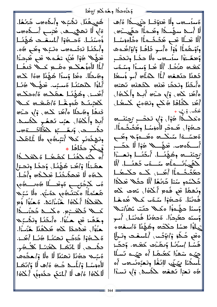وُحْزُهِ حِدًّا وِهُوَ حُمْ رُومُوا

هُمِيهِمَا. تَمَّتَرِيهِ وأَيَكُمُ مِنْ خَرْبُهُا. ة) والأشعثين هي مُتبِس أسكاه وه ؤْەمْنُـا. ەْھەۋا اْلمىقىد ھُوْنُـا وأَمثَنُا لَاتُموهو ولَبُلا وهُم هُو. هَيْمًا هُوْا هُنِّي مْعُـمِد هُـ هُـرَدُٰا أَلَمَا الْأُوزُهكْـــم وصُـــم كَــــمَّــ دْمَكْـــا وهَّىطًا. وهُا وَمِيزًا هُهُمًا هؤا كُلُّه أَمْلَوْا ۖ كَنْعَنُنَا هُمِيَّمٍ. هَذُلِكَ هُنَا أَهْمِ: وهُمُمُهُ هِمَكُمْ هَاهِ دَلَكُمْ كُعْبَسُكُ هُومِنْسًا هُاهُبْعُدِ كَمِلًا تَبْعُلُ وِرَهُ بِمَالًا هِ أَهْزَ كَلْهُ وَ وَلَى حَنَّوْهِ أَبِهِ وَأَخْذَا. هَبَّ نَفْعُو لِلْمُسْمَ. دكَمــــد. وَبِمَـــــرَو حَكَلَادَــــة ه وِنْهِخُوبُر كَلاً أُتَبْعَثُو وَلَا لْمُلَكَّل فَي كُلِّ حَثَافُا ﴾ أُه حُدُمِحْفُسُل حُمَّمُهُ لِمَحْمَدِهُا ِهِهَٰٓ; أَا وۡاٰهَٰٓ ۚ هُوۡنُـًا ۚ وَحِكُـا وِتَحِـدَا ۖ لِهُ مَا أَسْعِدُ مِنْكُمْ شَكْدُهِ وِأَصُلْ ەْت كَبْتُوَّىپ ەْوْشْسْلَا ھەتتىھەر صَحْدُ أَأَه ، شُمْعَه مِهْمُنتَهُ، وَأَلْمَنْهُمْ لِحْقَلِكُمَا أَكْدَهُا هُنَّكُمْ كُمُوْزًا وَمَنْ وَمِنْ وَمَنْ وَمَنْ وَمَنْ وَمَنْ وَمَنْ وَمَنْ تملك فُلْقَوْمٍ. وكُسْمْ كُحَزْسَمُا وِهَقَٰٓ تَهَا هُزُواْ. وأَحَطُا وِلْكُنَّ هِزُوُّلٍ. مْعَجَدْا كُلُّهِ مَجْجَعُبًا هَزَيْرًا. ەَ كَامُوْا خَاجَى نَعْنُنَا الْمَنُنَا أَهَد:. حكَست. لَا النَّقا الحَفْزِسُا لَحْسُوْبٍ. هُمُرحد حوهُ لَا تَعْمُلُ لَا هِ اُلْ وَاحْدُوهَا للأُدْفِسُا وْ/لَمْسِي حُسْرَة وْ/فَ لَا وْ/نَتْعَبَا لَّاحُدُّا ءُ/َفَ لَا ٱلْمُحَكِّ حَثَّمَوْفُ ٱلْحُدُّا

كَمِيزُ مِنْ وَلَا مُحْرَوِّصًا حَيْنَ ذَاكَرَهُ مَنْ لَّا أَـــــــم معهَّـــــمَّا وهُــــماً حقِّــــ ْرَه . |ٱلَّا مْـــُلَّا مْـــو مَّكَــدَّــداً ا مثَّادَفِــُــا وَآوٌ حَقَّ اللَّهُ أَوْ إِلَّا مَ أَسِرٍ وَالْقَالِمَ وَإِنَّ اهْتَ هَا وَهِمْبَوْا مِبْرَّسِهِمْ وَلَا حِجَا وِتَحِصْرِ كَعْدِهِ هَزُدًا. أَلَّا هُـا وَمِيأَا وِمَيَّةَب كَعْمًا حَنُعْمُه ٱلْمَا حَدَّاه أَس وُسْعَدَا هأَمكُنا وتَحجَّز هَنَّه للصَّقَاهِ يَعْتَبُه هأهُدْ كُلُهِ . وَلِي حِنْوَهِ أَبِيهِ وَأَكْتُواْ. أَهَٰذِ لِمَثَلَاقَا هُكُم وِنْقَوْمُ كَمِعْلَ. مَكَب. وُ. ﴾<br>٥ ْ عَكْسُكُمْ الْمُوْلِ. وْإِلَى تَحْصَّـــ وَصِمْتَـــوه حـدُوْا }. هُــوحْرِ للْأُوفِسُــا وِهُكُــفُــوـاًا. ةهنئةا منكسة وهُجه وهُب أَكَّاهِ هِنَّ مِنْ يَحْمَلُوا لَا حَكَّبَ رْجِئْنْــرە وِهُدُّبُــا. أَحَدُّــا وِنْعَـــزَا لَافَيْ;َتَــه أَمَّــهُ مَـــهُ صَفَـــا. أَلَّا حعَّضُثُـه اُلَّا أَهُـــز. كُــه حكْسِعُــا كَحْشُومٍ مُنْدَا دَّرْتُهُا أَلَّا حَثَى ` شَحْكَا ا وِنُعِمًا مَّعِ فَوْمِ أَكْلَاهًا. ءُدِتَ كَلَاهِ فَوِّئا. وَدِوْوَا مِّمْهُ كَكَلا قُومَهَا وَسِئا حِيُّدَوُّا مَكْلًا حَنَّتَ تَعْزُلُهُمْ وَّمِمَّه حَعَّدِجُ¦. هُحَدُّمُلُ قُوسُـٰلَ. أُصِر أَيْهَاؤُا هِمُا حَكْتُهِ وِهُؤُمَّا هَ/مَعْدَهِ \* أَهْلَى حُكُمُو وْٱرْكُس، ٱلمَعْصَدِ وِتَبِرَلَا |فَسْلِ إِسْزَبْلِ وَبِكَنْوَتِ كَعْدُهِ. وَحَضَّرْ السُدّ مرحّه ه الْمُشَدّ انْعمَه مرحّ لِمُسكُمَّا لِيَهْلِ الْمُغَلَّا وِلْمُؤْهِدُ الْمُسَامَ ، هُو تَعْزَا تُعْقُدُ لِلْأَسْلَاءِ ۚ وَلَٰى تَسْأَا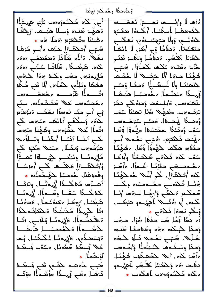وُحْزُهِ حِدًّا وِهُوَ حُمْ رُومُوا

أَبِ. لَاهِ كَلْسُوَوِهِ مُآتِ هِي زُلْمَا ەَھۇخ قىتىم ۇسىلل ھۇسمى ئېيىشل ەھْىئىُا ەشكھْرْم شْحَلَا شَە ﴾ هُتِبِ أُمكِمَّـزُلِ حنَّتِ هأسرِ هُرْهُـا ىغَلًا. ةَ/َمَّاهُ هَٰلَاتْلَ هُعفَعفَبٍ 200 لاه. هُ<sub>ُب</sub>ِهُمـدًا. هُلَّاتْـا مُنْبَى «هُه كَايُدْتُهِ . دەُب وِكْنْدْ ١٥٥ لْكَمُّوم فَعُعُا وِنَالُمْ ۖ حَدَّاهُ ۚ أَلَّا مَن كُلُّوْ اثَّــــــــه الْأَرْحــــــــه مكَعفٌـــــــه وم ەڭجىئەھە كْلا ھُكُىڤەلُە. مىلّ وْمِ أُمِرِ حَنَّتَ نُوهُوُّا بِمُحَمَّتِ وَيَوْهُوَ لَّهُهُ وَسَلَّكَ إِلَيْكُ مَنْهُتَ لَكُمْ اثَماً ا كَمْلاً حَثَّرُه هـ وِهُمُمُا مَرْهِت كُلُّم ٱمنُـٰلِ ٱخُنُـٰلِ ٱمۡخُنُـٰلِ وِنَـٰلَٰٓؤُهِ ۞ ھَتُھُوم وَبِئَمُلَا. مِمْثَلًا مَكْبُو كُلِّ كَلّْكُونُـــا وتَرْحُــــو حَيْـــاوْا عُصـــرْا وُاتَحْكَمَـٰٓ زَالَ مَٰٓ كُلَّــ ڡ كَلَّـــ أُهوَ مُـــا وِفُووَمُلُا. ـِهُوصُل لِكَهُـِدُّه أَرْوَ \* أُهــْوَ كَمْكُــدًا أَيُـمِثْــا. وِتْرَسْــا لحامراً متشا وهُــولًا. أَيُوسُــو هُرِهُمُـا . رُوهُـا هكْنفُـُـماًا . هُـْهُنُـا ائْلِ حَيْجًا حَجَّنُوهُا هَ حَعْلاَثُ حَجَّا ەَ جَدَّـْـوَامُّ لِـٰهِ صَلَّىٰ الْمَصْـَفِـٰهِ مِنْ الْمَـٰفِـٰ مِنْ مَـٰـٰلَّا مَـٰ حُزْهُـــولُمُ وَحَمُّوصُـــــــل هُنُهُـــــل ەُوْسْتَدْشُو، وْݣَايْحَالْ لْمَدْمَالْ بِهُمْسَادِ، وُلْعَدْ كْمِلًا وْسَعَكُمْ مُعَقَّدْتُلْ. مِنْدَّب وْسِعَدْهُ أَوُّحْقُه أَلَّا ﴾ هُبْبِ حُزْهِ هُمْ حَفِّي هُجْ وَسَعَكُمْ دَٰذِهَـٰا هَمْـِ فَيَـٰهُا هؤُهُــهِ أَلْهُ هَوَّضُــهِ

ةُ أَهْلُ وَإِنَّـــمَا نَمْــــرًا نَهْمَــــــرَة لحدَّەموصًا لمُسمَّئا. أَحْدەُا مِكَعَ لاهُنُـــه، وُولًا حرَّجنُــــوُّه، نُـعـُلْـــمِ حنّقتُه ثاً. وَحدُكاً فِي أَهْزِ. لَا لِمَعْطَ ﻼﻫُﻨﺎ ॲﺩُﻩُܝ. ﻩُﺩﻫُﺣًﺎ ﻭِﻳَّﺪ: ﻫَﻨُﺮ هَّنُو: ەَقْتَدە ئَكُمْ كَمَّنُوَّا. ﴿ وَبِّ هُهُنُا حِشَا ٱلْا حَرَضَــهُ لَا هُـَـْعَ لكَنْعِنْنَا وِلًا لِمُعْمَدِيُّا وَحَمْدا وَحِمْدِ فَيْ الْمُحَدَّدُهُ الْمُعْجَمَّا هِزَمَكُمْ الْمُرْوَةَ ىنگئەھە : 15مىق ۋە ئىگى ئى تَائَـدەت. ەھَدُلا ھُنُل تَـعْنُلُ مِّمَّت وَّەئىدا ئُےدا. ەَجنى مىتىھىدەت مَدَّمَى وُّەتْنُكُلْ هِتُسْنُكُلْ وَيُّوَوَّلْ وُّهْمَا ەڭچە ئىللخېر. «ئېم ئىقمىلا أسو حَكْلُاه هكْفَ خَذْهُوا وُهُلْ. وهُوُبُنَا مَدًى لَاه ثَلاهَم هُلْتَـٰهُ/أَ وِٱوْكُـا ەھْـەتىدەت تىگېنىل اڭــەۋُا. ەْ آھَــز كَلُّهِ أَصْلَحْمَوْلِ. كُمْ أَلْمَلًا هُمْلَكُهُمُا ھُنُّا ثُلاھَب مِعُّےحِسْدِ وِكُنَّب هُمثْلُمْ هَ لِكُمْمٍ وَٱرْضًا سُـْهُدَ إِسَّا تَكْرُهِ ﴾ [المُحْسَلا لْمُعَيْنِكُمْ وَمَرْهَضٍ . أَوۡنَكُو نَهُ٥ۡ ذُكۡرَهُم \* أُه حَعُل ذُكُل هُب حَكْمًا هُوْا. حَـهُب وَحِدًا كَبِنْدُه هَهُه وقداحدًا قُنْسُه هُـأَلا. هُـثبِ تمُـُـهِلا ضُـأَوْ لِحَـهَٰه |وٌحدًا وِتَسَشَّمَفَ لِكُنْزَاهِ أَلَمْ وَاضْمَعَهُ هِ أَهَٰذٍ لَكُلَّهِ . أَلما كَلْتُنْعَكُوْبَ هُكُلُهُ. حكْمت رَهُ وَ حَمْدُهُمْ كَلَّكُمْ لَحْقَيْدُو ەڭلە كَكْشُەرُەھە لْمۇھەت \*